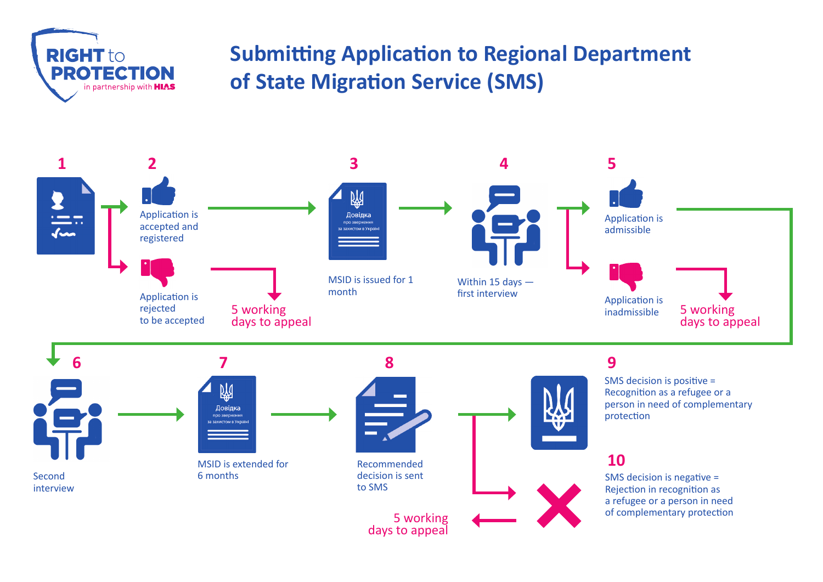

## **Submitting Application to Regional Department of State Migration Service (SMS)**



5 working days to appeal

Rejection in recognition as a refugee or a person in need of complementary protection